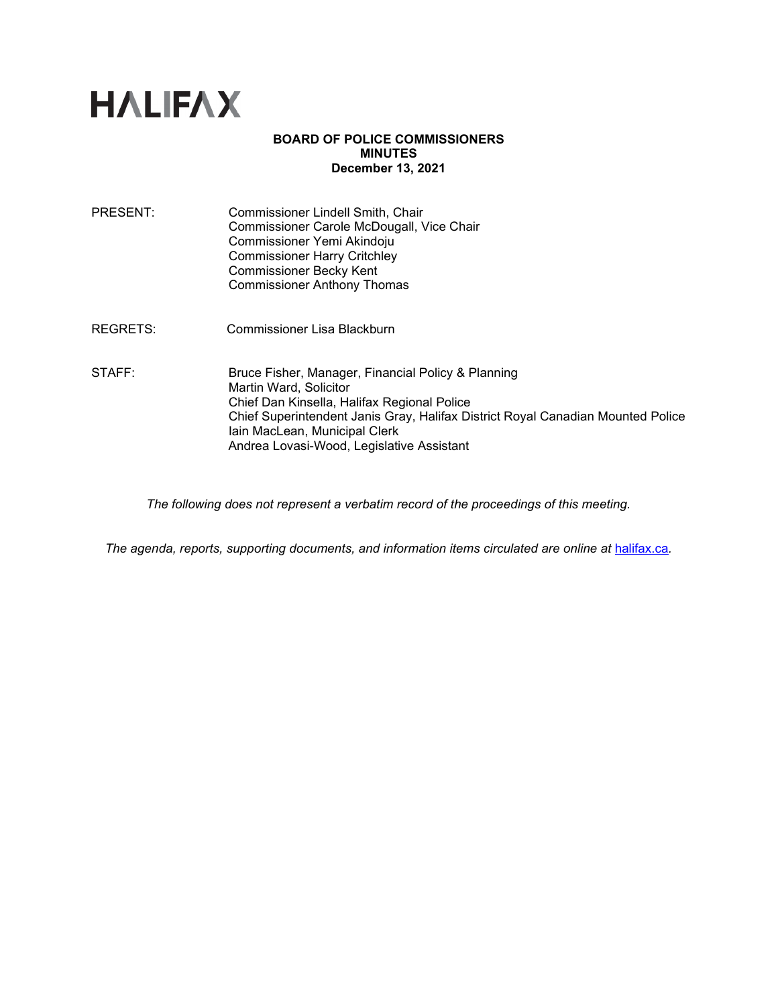

# **BOARD OF POLICE COMMISSIONERS MINUTES December 13, 2021**

PRESENT: Commissioner Lindell Smith, Chair Commissioner Carole McDougall, Vice Chair Commissioner Yemi Akindoju Commissioner Harry Critchley Commissioner Becky Kent Commissioner Anthony Thomas

REGRETS: Commissioner Lisa Blackburn

STAFF: Bruce Fisher, Manager, Financial Policy & Planning Martin Ward, Solicitor Chief Dan Kinsella, Halifax Regional Police Chief Superintendent Janis Gray, Halifax District Royal Canadian Mounted Police Iain MacLean, Municipal Clerk Andrea Lovasi-Wood, Legislative Assistant

*The following does not represent a verbatim record of the proceedings of this meeting.*

*The agenda, reports, supporting documents, and information items circulated are online at [halifax.ca](http://www.halifax.ca/).*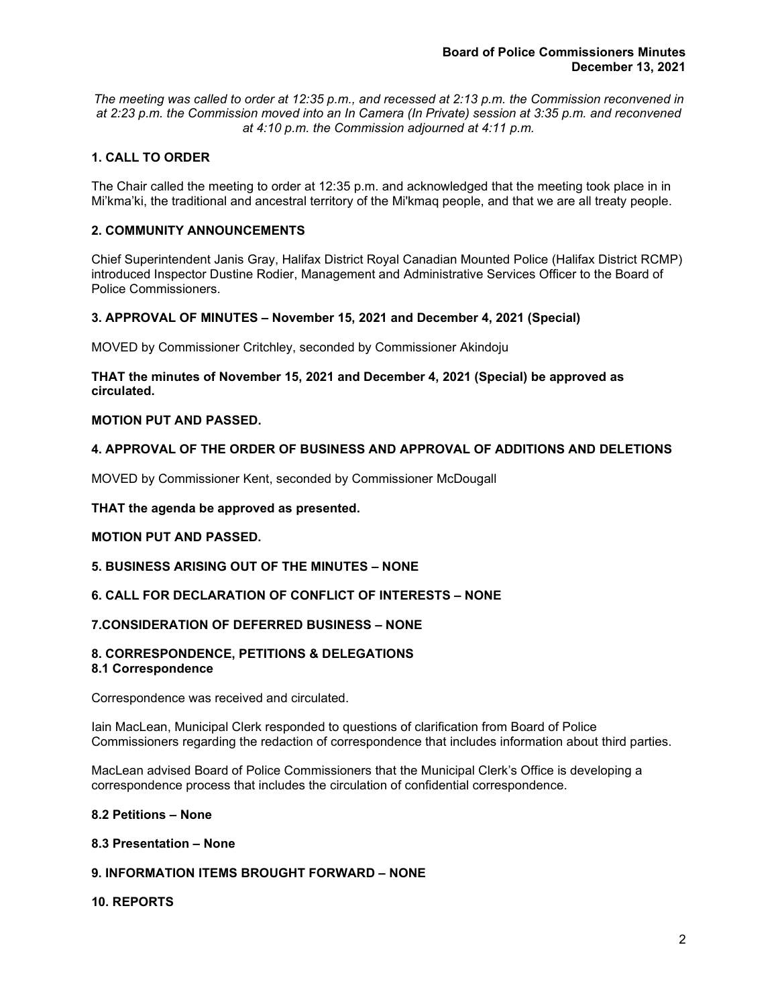*The meeting was called to order at 12:35 p.m., and recessed at 2:13 p.m. the Commission reconvened in at 2:23 p.m. the Commission moved into an In Camera (In Private) session at 3:35 p.m. and reconvened at 4:10 p.m. the Commission adjourned at 4:11 p.m.*

# **1. CALL TO ORDER**

The Chair called the meeting to order at 12:35 p.m. and acknowledged that the meeting took place in in Mi'kma'ki, the traditional and ancestral territory of the Mi'kmaq people, and that we are all treaty people.

# **2. COMMUNITY ANNOUNCEMENTS**

Chief Superintendent Janis Gray, Halifax District Royal Canadian Mounted Police (Halifax District RCMP) introduced Inspector Dustine Rodier, Management and Administrative Services Officer to the Board of Police Commissioners.

# **3. APPROVAL OF MINUTES – November 15, 2021 and December 4, 2021 (Special)**

MOVED by Commissioner Critchley, seconded by Commissioner Akindoju

# **THAT the minutes of November 15, 2021 and December 4, 2021 (Special) be approved as circulated.**

# **MOTION PUT AND PASSED.**

# **4. APPROVAL OF THE ORDER OF BUSINESS AND APPROVAL OF ADDITIONS AND DELETIONS**

MOVED by Commissioner Kent, seconded by Commissioner McDougall

**THAT the agenda be approved as presented.** 

# **MOTION PUT AND PASSED.**

# **5. BUSINESS ARISING OUT OF THE MINUTES – NONE**

# **6. CALL FOR DECLARATION OF CONFLICT OF INTERESTS – NONE**

# **7.CONSIDERATION OF DEFERRED BUSINESS – NONE**

# **8. CORRESPONDENCE, PETITIONS & DELEGATIONS 8.1 Correspondence**

Correspondence was received and circulated.

Iain MacLean, Municipal Clerk responded to questions of clarification from Board of Police Commissioners regarding the redaction of correspondence that includes information about third parties.

MacLean advised Board of Police Commissioners that the Municipal Clerk's Office is developing a correspondence process that includes the circulation of confidential correspondence.

# **8.2 Petitions – None**

# **8.3 Presentation – None**

# **9. INFORMATION ITEMS BROUGHT FORWARD – NONE**

# **10. REPORTS**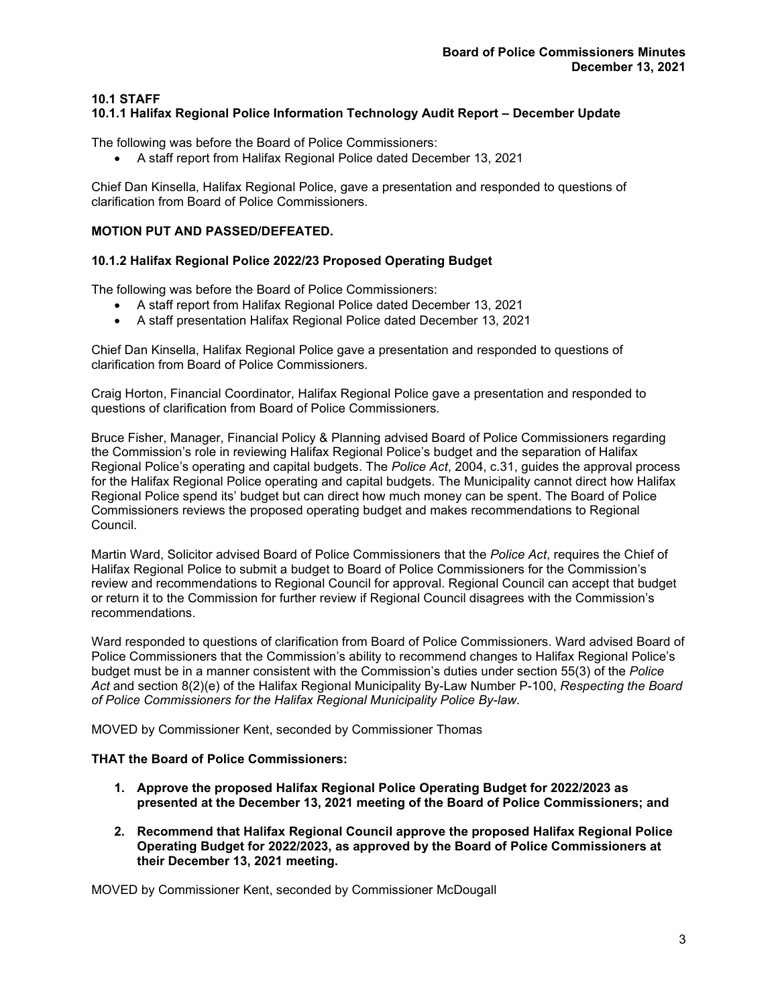# **10.1 STAFF**

# **10.1.1 Halifax Regional Police Information Technology Audit Report – December Update**

The following was before the Board of Police Commissioners:

• A staff report from Halifax Regional Police dated December 13, 2021

Chief Dan Kinsella, Halifax Regional Police, gave a presentation and responded to questions of clarification from Board of Police Commissioners*.*

# **MOTION PUT AND PASSED/DEFEATED.**

# **10.1.2 Halifax Regional Police 2022/23 Proposed Operating Budget**

The following was before the Board of Police Commissioners:

- A staff report from Halifax Regional Police dated December 13, 2021
- A staff presentation Halifax Regional Police dated December 13, 2021

Chief Dan Kinsella, Halifax Regional Police gave a presentation and responded to questions of clarification from Board of Police Commissioners*.*

Craig Horton, Financial Coordinator, Halifax Regional Police gave a presentation and responded to questions of clarification from Board of Police Commissioners*.*

Bruce Fisher, Manager, Financial Policy & Planning advised Board of Police Commissioners regarding the Commission's role in reviewing Halifax Regional Police's budget and the separation of Halifax Regional Police's operating and capital budgets. The *Police Act*, 2004, c.31, guides the approval process for the Halifax Regional Police operating and capital budgets. The Municipality cannot direct how Halifax Regional Police spend its' budget but can direct how much money can be spent. The Board of Police Commissioners reviews the proposed operating budget and makes recommendations to Regional Council.

Martin Ward, Solicitor advised Board of Police Commissioners that the *Police Act*, requires the Chief of Halifax Regional Police to submit a budget to Board of Police Commissioners for the Commission's review and recommendations to Regional Council for approval. Regional Council can accept that budget or return it to the Commission for further review if Regional Council disagrees with the Commission's recommendations.

Ward responded to questions of clarification from Board of Police Commissioners. Ward advised Board of Police Commissioners that the Commission's ability to recommend changes to Halifax Regional Police's budget must be in a manner consistent with the Commission's duties under section 55(3) of the *Police Act* and section 8(2)(e) of the Halifax Regional Municipality By-Law Number P-100, *Respecting the Board of Police Commissioners for the Halifax Regional Municipality Police By-law*.

MOVED by Commissioner Kent, seconded by Commissioner Thomas

# **THAT the Board of Police Commissioners:**

- **1. Approve the proposed Halifax Regional Police Operating Budget for 2022/2023 as presented at the December 13, 2021 meeting of the Board of Police Commissioners; and**
- **2. Recommend that Halifax Regional Council approve the proposed Halifax Regional Police Operating Budget for 2022/2023, as approved by the Board of Police Commissioners at their December 13, 2021 meeting.**

MOVED by Commissioner Kent, seconded by Commissioner McDougall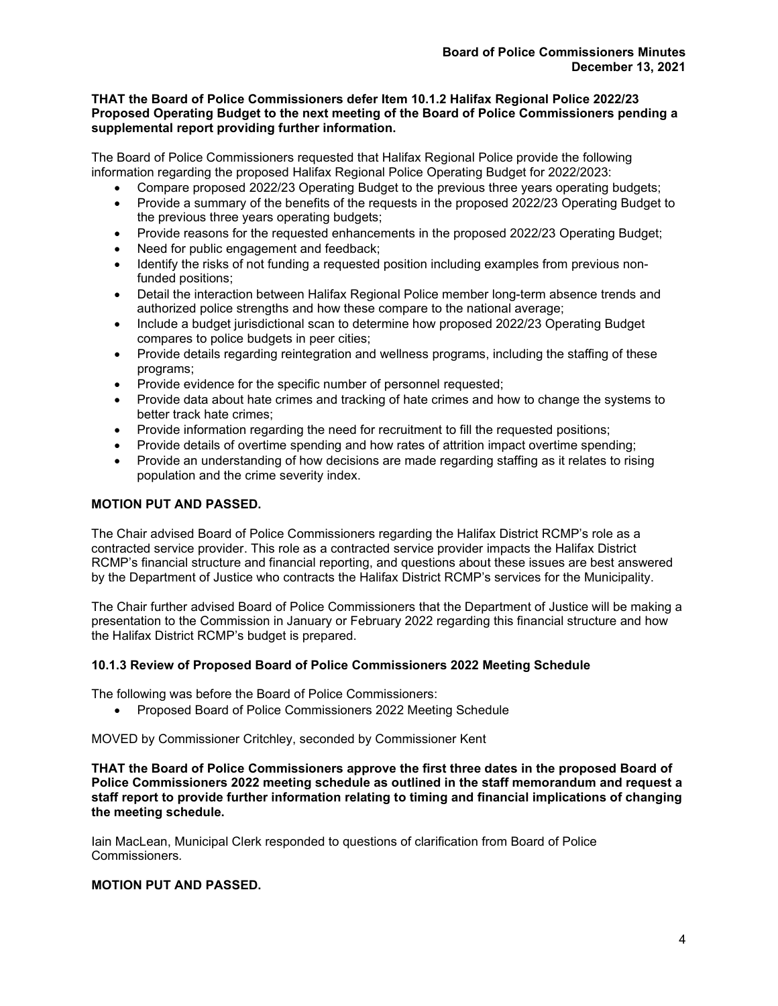# **THAT the Board of Police Commissioners defer Item 10.1.2 Halifax Regional Police 2022/23 Proposed Operating Budget to the next meeting of the Board of Police Commissioners pending a supplemental report providing further information.**

The Board of Police Commissioners requested that Halifax Regional Police provide the following information regarding the proposed Halifax Regional Police Operating Budget for 2022/2023:

- Compare proposed 2022/23 Operating Budget to the previous three years operating budgets;
- Provide a summary of the benefits of the requests in the proposed 2022/23 Operating Budget to the previous three years operating budgets;
- Provide reasons for the requested enhancements in the proposed 2022/23 Operating Budget;
- Need for public engagement and feedback;
- Identify the risks of not funding a requested position including examples from previous nonfunded positions;
- Detail the interaction between Halifax Regional Police member long-term absence trends and authorized police strengths and how these compare to the national average;
- Include a budget jurisdictional scan to determine how proposed 2022/23 Operating Budget compares to police budgets in peer cities;
- Provide details regarding reintegration and wellness programs, including the staffing of these programs;
- Provide evidence for the specific number of personnel requested;
- Provide data about hate crimes and tracking of hate crimes and how to change the systems to better track hate crimes;
- Provide information regarding the need for recruitment to fill the requested positions;
- Provide details of overtime spending and how rates of attrition impact overtime spending;
- Provide an understanding of how decisions are made regarding staffing as it relates to rising population and the crime severity index.

# **MOTION PUT AND PASSED.**

The Chair advised Board of Police Commissioners regarding the Halifax District RCMP's role as a contracted service provider. This role as a contracted service provider impacts the Halifax District RCMP's financial structure and financial reporting, and questions about these issues are best answered by the Department of Justice who contracts the Halifax District RCMP's services for the Municipality.

The Chair further advised Board of Police Commissioners that the Department of Justice will be making a presentation to the Commission in January or February 2022 regarding this financial structure and how the Halifax District RCMP's budget is prepared.

# **10.1.3 Review of Proposed Board of Police Commissioners 2022 Meeting Schedule**

The following was before the Board of Police Commissioners:

• Proposed Board of Police Commissioners 2022 Meeting Schedule

MOVED by Commissioner Critchley, seconded by Commissioner Kent

**THAT the Board of Police Commissioners approve the first three dates in the proposed Board of Police Commissioners 2022 meeting schedule as outlined in the staff memorandum and request a staff report to provide further information relating to timing and financial implications of changing the meeting schedule.**

Iain MacLean, Municipal Clerk responded to questions of clarification from Board of Police Commissioners*.*

# **MOTION PUT AND PASSED.**